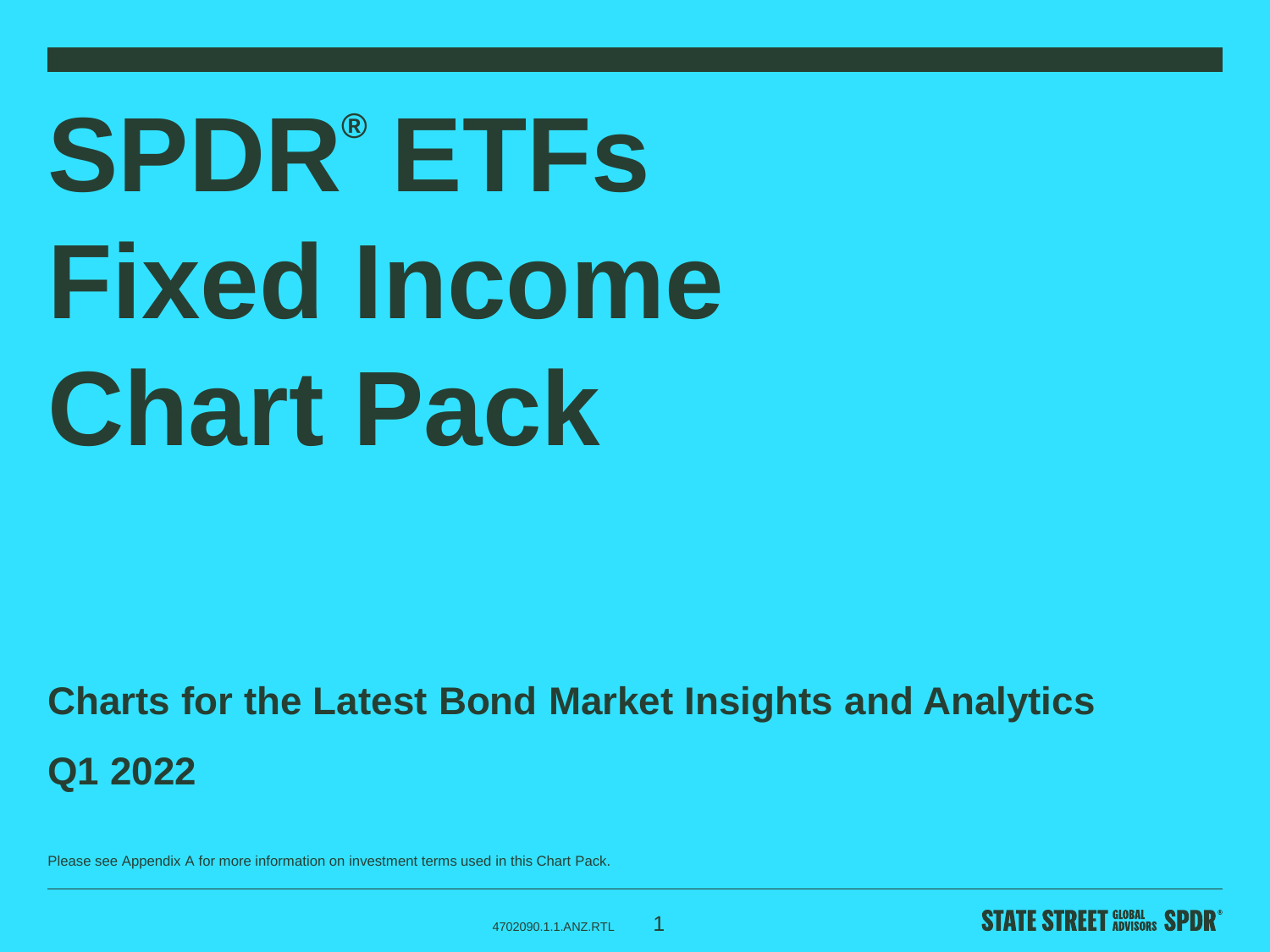# **SPDR® ETFs Fixed Income Chart Pack**

#### **Charts for the Latest Bond Market Insights and Analytics Q1 2022**

Please see Appendix A for more information on investment terms used in this Chart Pack.

4702090.1.1.ANZ.RTL

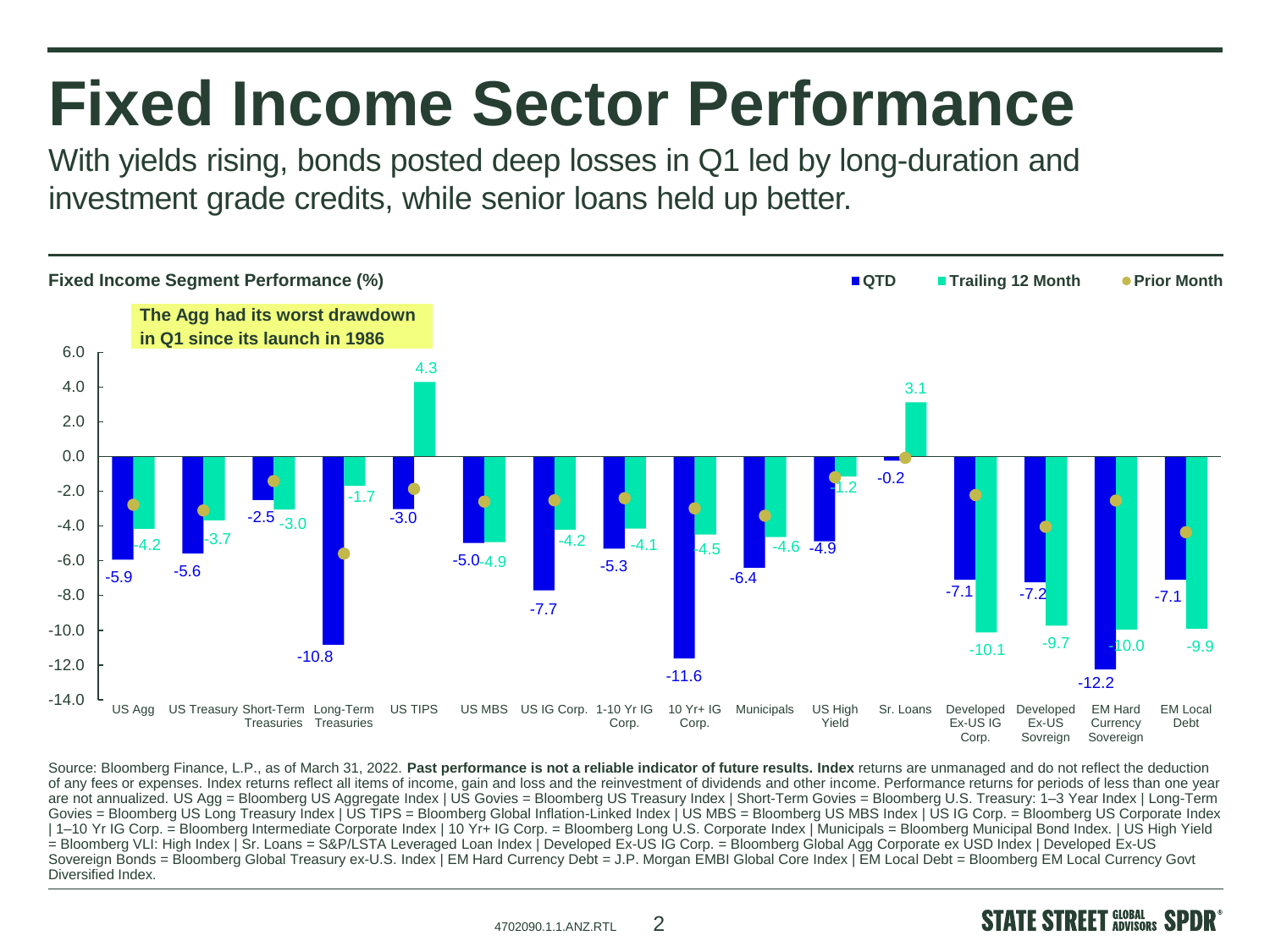#### **Fixed Income Sector Performance**

With yields rising, bonds posted deep losses in Q1 led by long-duration and investment grade credits, while senior loans held up better.



Source: Bloomberg Finance, L.P., as of March 31, 2022. **Past performance is not a reliable indicator of future results. Index** returns are unmanaged and do not reflect the deduction of any fees or expenses. Index returns reflect all items of income, gain and loss and the reinvestment of dividends and other income. Performance returns for periods of less than one year are not annualized. US Agg = Bloomberg US Aggregate Index | US Govies = Bloomberg US Treasury Index | Short-Term Govies = Bloomberg U.S. Treasury: 1-3 Year Index | Long-Term Govies = Bloomberg US Long Treasury Index | US TIPS = Bloomberg Global Inflation-Linked Index | US MBS = Bloomberg US MBS Index | US IG Corp. = Bloomberg US Corporate Index | 1–10 Yr IG Corp. = Bloomberg Intermediate Corporate Index | 10 Yr+ IG Corp. = Bloomberg Long U.S. Corporate Index | Municipals = Bloomberg Municipal Bond Index. | US High Yield = Bloomberg VLI: High Index | Sr. Loans = S&P/LSTA Leveraged Loan Index | Developed Ex-US IG Corp. = Bloomberg Global Agg Corporate ex USD Index | Developed Ex-US Sovereign Bonds = Bloomberg Global Treasury ex-U.S. Index | EM Hard Currency Debt = J.P. Morgan EMBI Global Core Index | EM Local Debt = Bloomberg EM Local Currency Govt Diversified Index.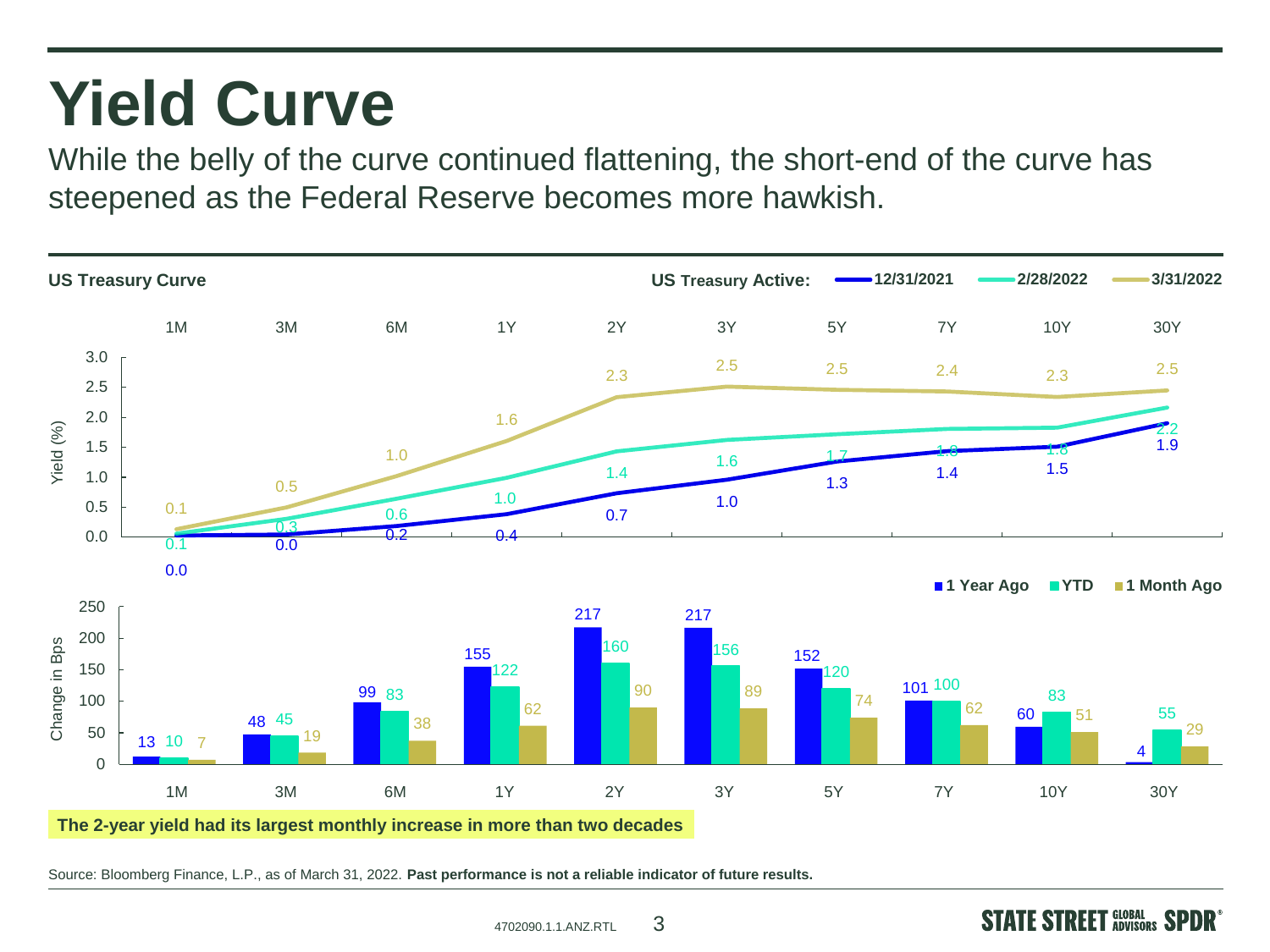### **Yield Curve**

While the belly of the curve continued flattening, the short-end of the curve has steepened as the Federal Reserve becomes more hawkish.



Source: Bloomberg Finance, L.P., as of March 31, 2022. **Past performance is not a reliable indicator of future results.**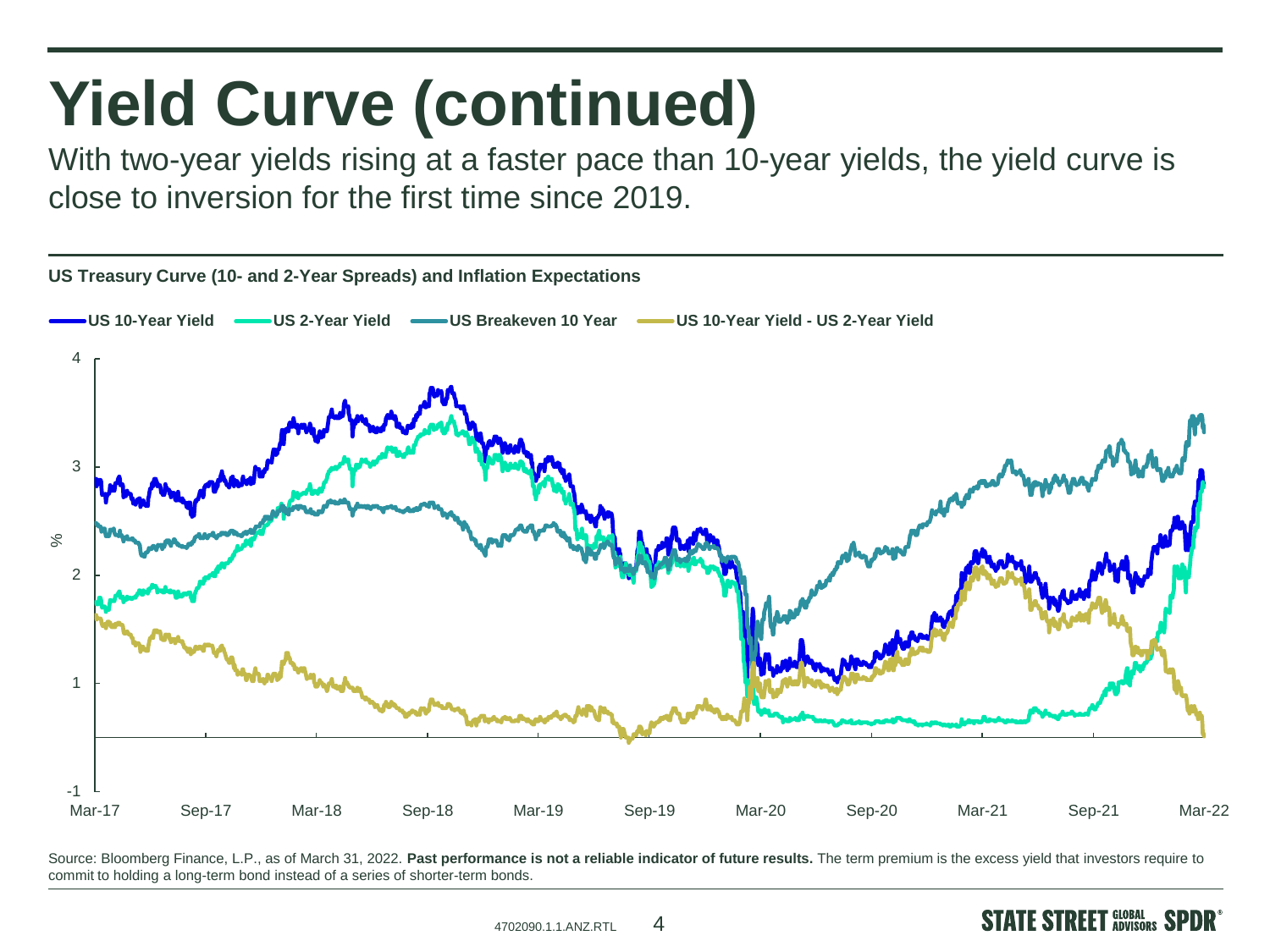# **Yield Curve (continued)**

With two-year yields rising at a faster pace than 10-year yields, the yield curve is close to inversion for the first time since 2019.



Source: Bloomberg Finance, L.P., as of March 31, 2022. Past performance is not a reliable indicator of future results. The term premium is the excess yield that investors require to commit to holding a long-term bond instead of a series of shorter-term bonds.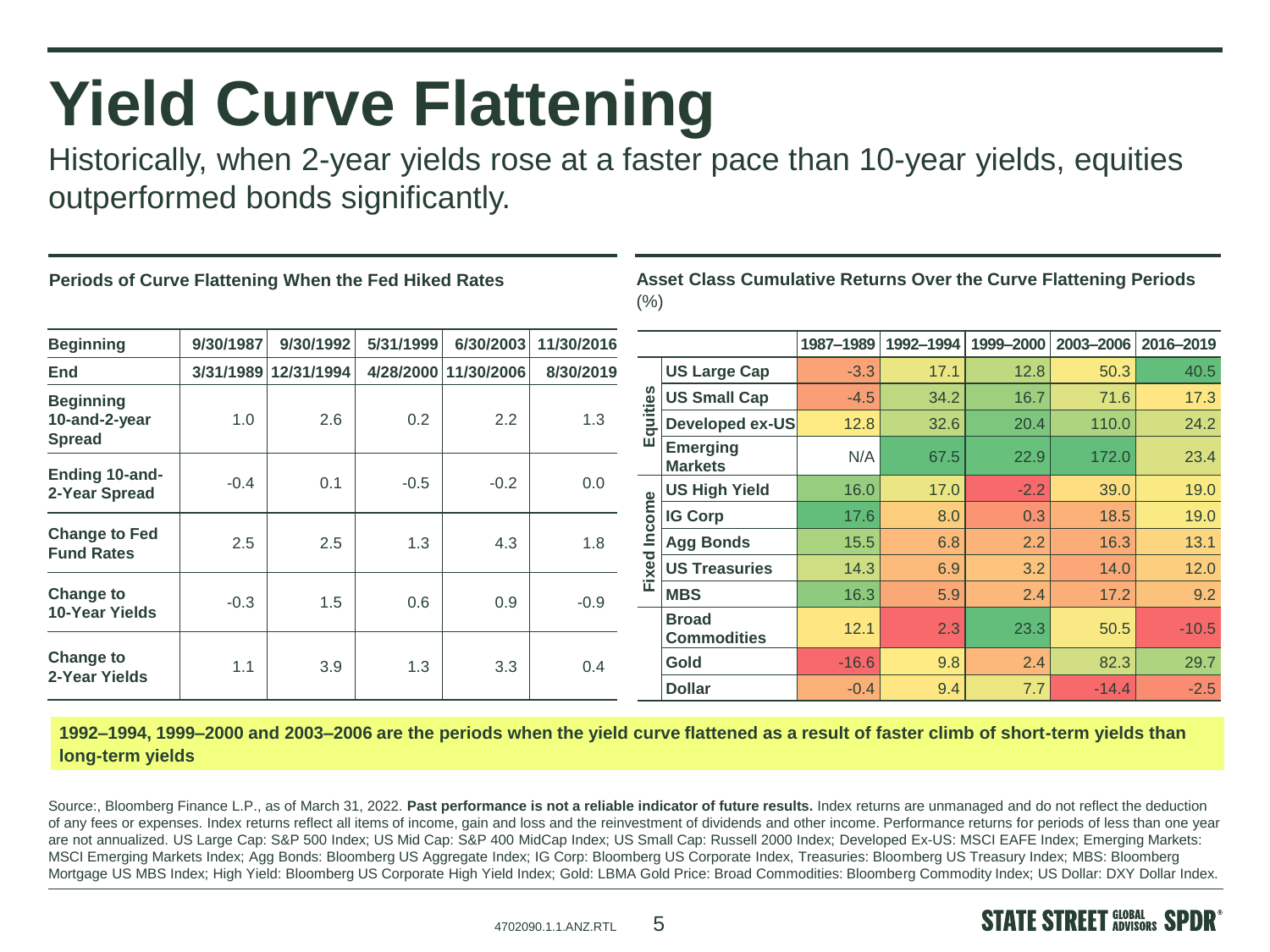### **Yield Curve Flattening**

Historically, when 2-year yields rose at a faster pace than 10-year yields, equities outperformed bonds significantly.

#### **Periods of Curve Flattening When the Fed Hiked Rates**

**Asset Class Cumulative Returns Over the Curve Flattening Periods**   $(% )$ 

| <b>Beginning</b>                                                        | 9/30/1987     | 9/30/1992  | 5/31/1999  | 6/30/2003            | 11/30/2016    |                 |                                    | 1987-1989 | 1992-1994 | 1999-2000 | 2003-2006 | 2016-2019 |
|-------------------------------------------------------------------------|---------------|------------|------------|----------------------|---------------|-----------------|------------------------------------|-----------|-----------|-----------|-----------|-----------|
| End                                                                     | 3/31/1989     | 12/31/1994 |            | 4/28/2000 11/30/2006 | 8/30/2019     |                 | <b>US Large Cap</b>                | $-3.3$    | 17.1      | 12.8      | 50.3      | 40.5      |
| <b>Beginning</b>                                                        |               |            |            |                      |               | ities           | <b>US Small Cap</b>                | $-4.5$    | 34.2      | 16.7      | 71.6      | 17.3      |
| 10-and-2-year                                                           | 1.0           | 2.6        | 0.2        | 2.2                  | 1.3           |                 | Developed ex-US                    | 12.8      | 32.6      | 20.4      | 110.0     | 24.2      |
| <b>Spread</b><br>Ending 10-and-                                         |               |            |            |                      |               | ш               | Emerging<br><b>Markets</b>         | N/A       | 67.5      | 22.9      | 172.0     | 23.4      |
| 2-Year Spread                                                           | $-0.4$        | 0.1        | $-0.5$     | $-0.2$               | 0.0           | $\omega$<br>xed | US High Yield                      | 16.0      | 17.0      | $-2.2$    | 39.0      | 19.0      |
| <b>Change to Fed</b><br><b>Fund Rates</b>                               | 2.5           | 2.5        | 1.3        | 4.3                  | 1.8           |                 | <b>IG Corp</b>                     | 17.6      | 8.0       | 0.3       | 18.5      | 19.0      |
|                                                                         |               |            |            |                      |               |                 | <b>Agg Bonds</b>                   | 15.5      | 6.8       | 2.2       | 16.3      | 13.1      |
|                                                                         |               |            |            |                      |               |                 | <b>US Treasuries</b>               | 14.3      | 6.9       | 3.2       | 14.0      | 12.0      |
| <b>Change to</b><br>10-Year Yields<br><b>Change to</b><br>2-Year Yields | $-0.3$<br>1.1 | 1.5<br>3.9 | 0.6<br>1.3 | 0.9<br>3.3           | $-0.9$<br>0.4 | 這               | <b>MBS</b>                         | 16.3      | 5.9       | 2.4       | 17.2      | 9.2       |
|                                                                         |               |            |            |                      |               |                 | <b>Broad</b><br><b>Commodities</b> | 12.1      | 2.3       | 23.3      | 50.5      | $-10.5$   |
|                                                                         |               |            |            |                      |               |                 | Gold                               | $-16.6$   | 9.8       | 2.4       | 82.3      | 29.7      |
|                                                                         |               |            |            |                      |               |                 | <b>Dollar</b>                      | $-0.4$    | 9.4       | 7.7       | $-14.4$   | $-2.5$    |

**1992–1994, 1999–2000 and 2003–2006 are the periods when the yield curve flattened as a result of faster climb of short-term yields than long-term yields**

Source:, Bloomberg Finance L.P., as of March 31, 2022. Past performance is not a reliable indicator of future results. Index returns are unmanaged and do not reflect the deduction of any fees or expenses. Index returns reflect all items of income, gain and loss and the reinvestment of dividends and other income. Performance returns for periods of less than one year are not annualized. US Large Cap: S&P 500 Index; US Mid Cap: S&P 400 MidCap Index; US Small Cap: Russell 2000 Index; Developed Ex-US: MSCI EAFE Index; Emerging Markets: MSCI Emerging Markets Index; Agg Bonds: Bloomberg US Aggregate Index; IG Corp: Bloomberg US Corporate Index, Treasuries: Bloomberg US Treasury Index; MBS: Bloomberg Mortgage US MBS Index; High Yield: Bloomberg US Corporate High Yield Index; Gold: LBMA Gold Price: Broad Commodities: Bloomberg Commodity Index; US Dollar: DXY Dollar Index.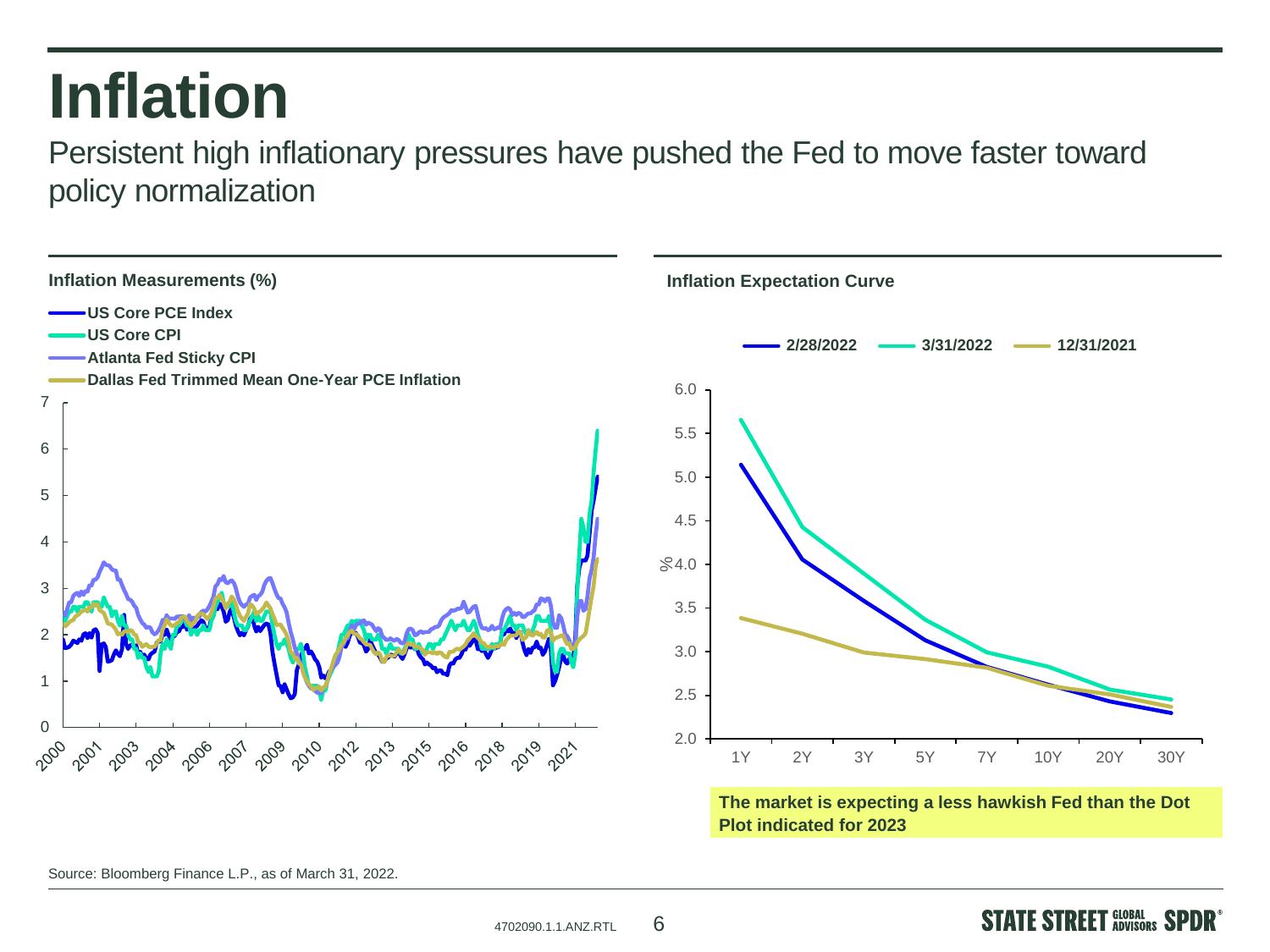#### **Inflation**

Persistent high inflationary pressures have pushed the Fed to move faster toward policy normalization



Source: Bloomberg Finance L.P., as of March 31, 2022.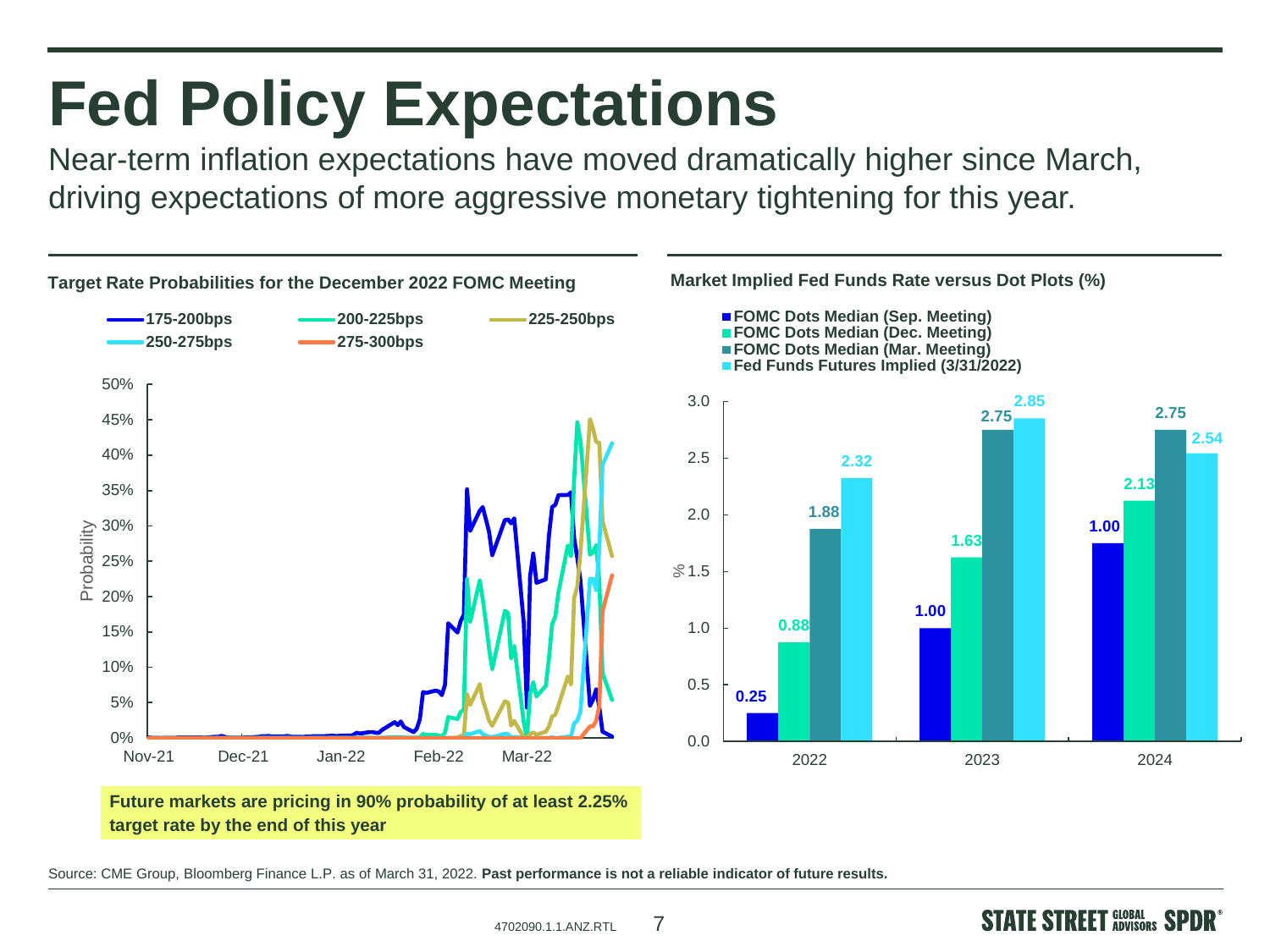#### **Fed Policy Expectations**

Near-term inflation expectations have moved dramatically higher since March, driving expectations of more aggressive monetary tightening for this year.



Source: CME Group, Bloomberg Finance L.P. as of March 31, 2022. **Past performance is not a reliable indicator of future results.**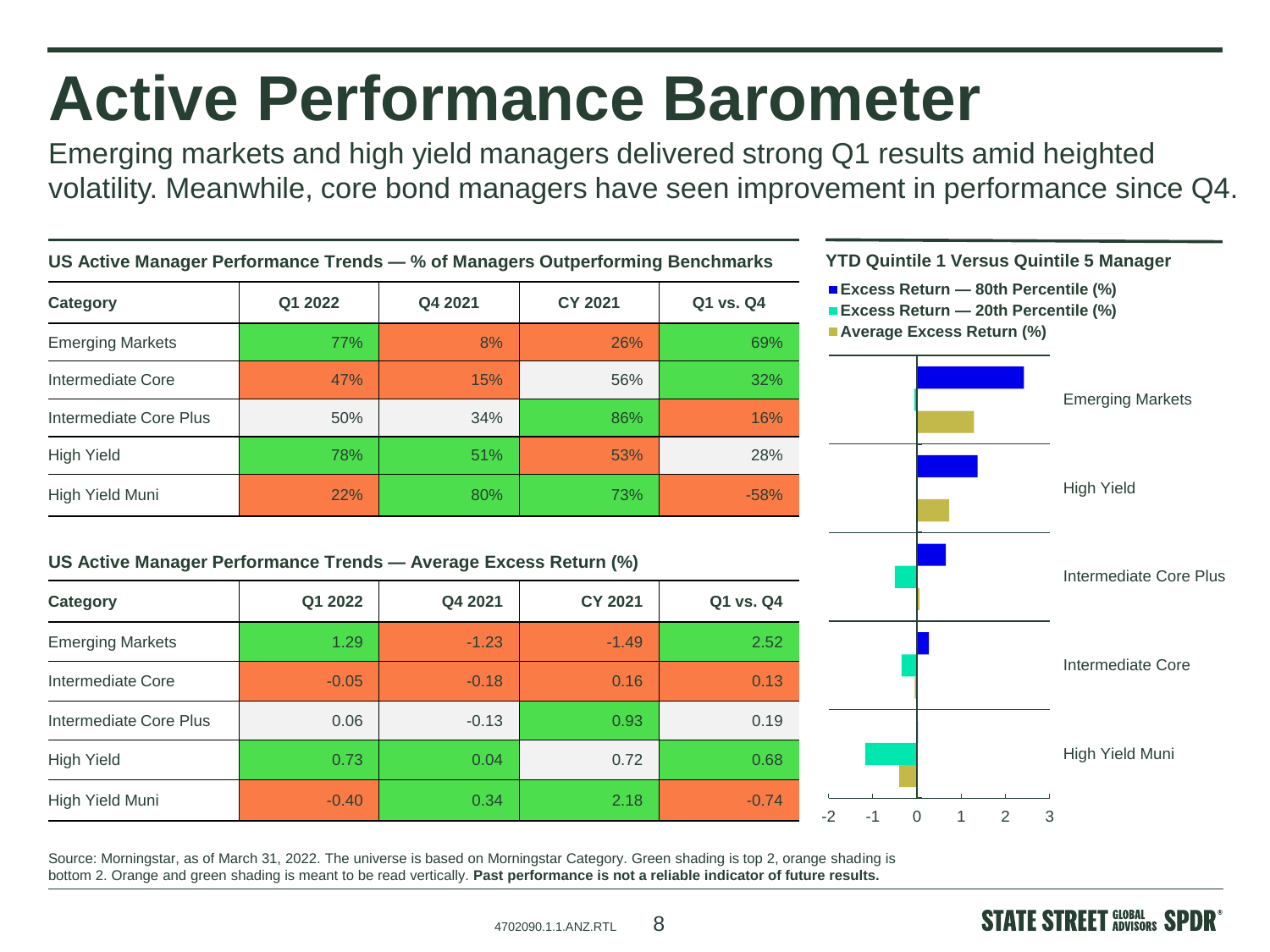### **Active Performance Barometer**

Emerging markets and high yield managers delivered strong Q1 results amid heighted volatility. Meanwhile, core bond managers have seen improvement in performance since Q4.



Source: Morningstar, as of March 31, 2022. The universe is based on Morningstar Category. Green shading is top 2, orange shading is bottom 2. Orange and green shading is meant to be read vertically. **Past performance is not a reliable indicator of future results.**

 $4702090.1.1$  ANZ RTL  $8$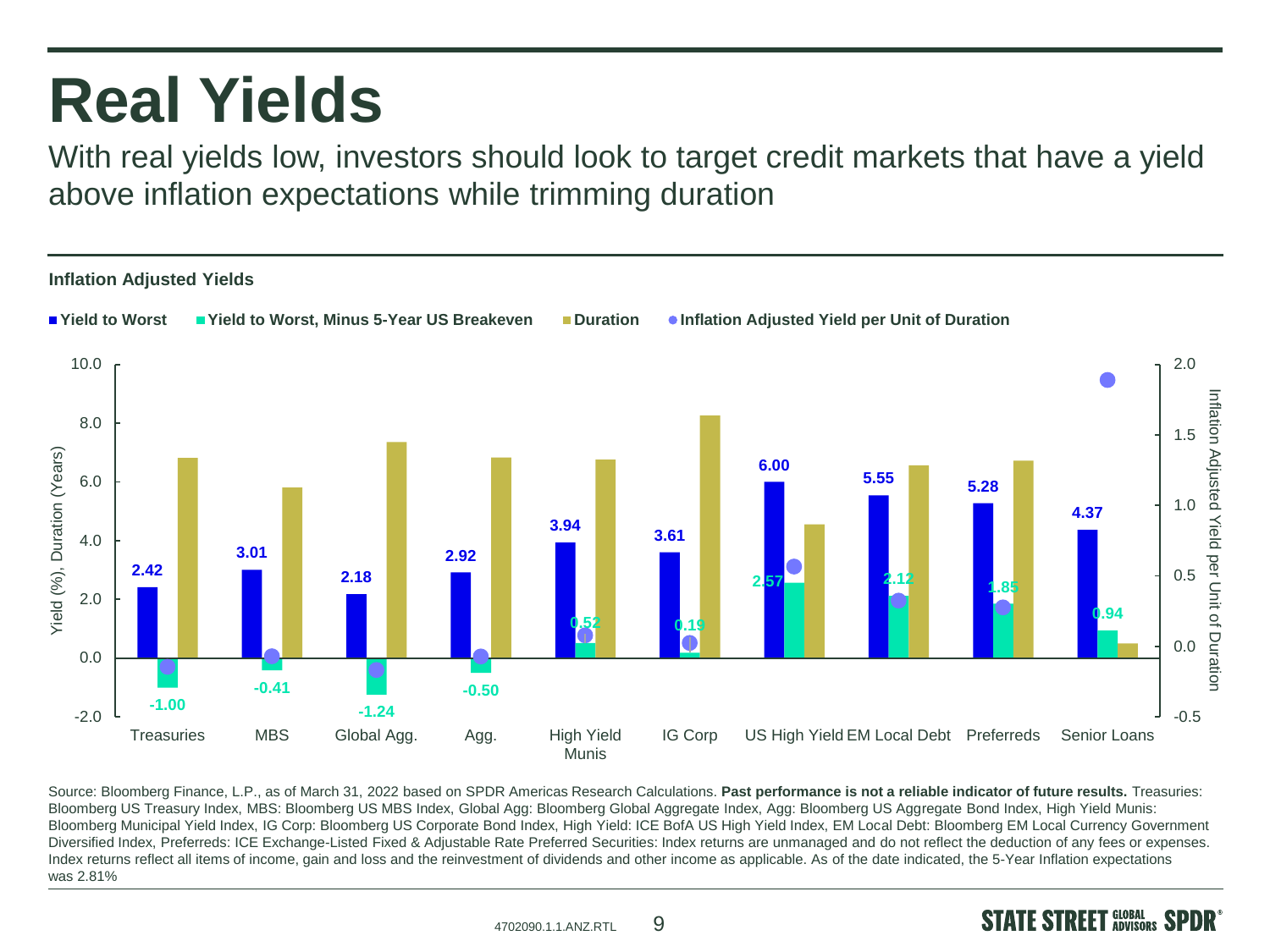#### **Real Yields**

With real yields low, investors should look to target credit markets that have a yield above inflation expectations while trimming duration



Source: Bloomberg Finance, L.P., as of March 31, 2022 based on SPDR Americas Research Calculations. **Past performance is not a reliable indicator of future results.** Treasuries: Bloomberg US Treasury Index, MBS: Bloomberg US MBS Index, Global Agg: Bloomberg Global Aggregate Index, Agg: Bloomberg US Aggregate Bond Index, High Yield Munis: Bloomberg Municipal Yield Index, IG Corp: Bloomberg US Corporate Bond Index, High Yield: ICE BofA US High Yield Index, EM Local Debt: Bloomberg EM Local Currency Government Diversified Index, Preferreds: ICE Exchange-Listed Fixed & Adjustable Rate Preferred Securities: Index returns are unmanaged and do not reflect the deduction of any fees or expenses. Index returns reflect all items of income, gain and loss and the reinvestment of dividends and other income as applicable. As of the date indicated, the 5-Year Inflation expectations was 2.81%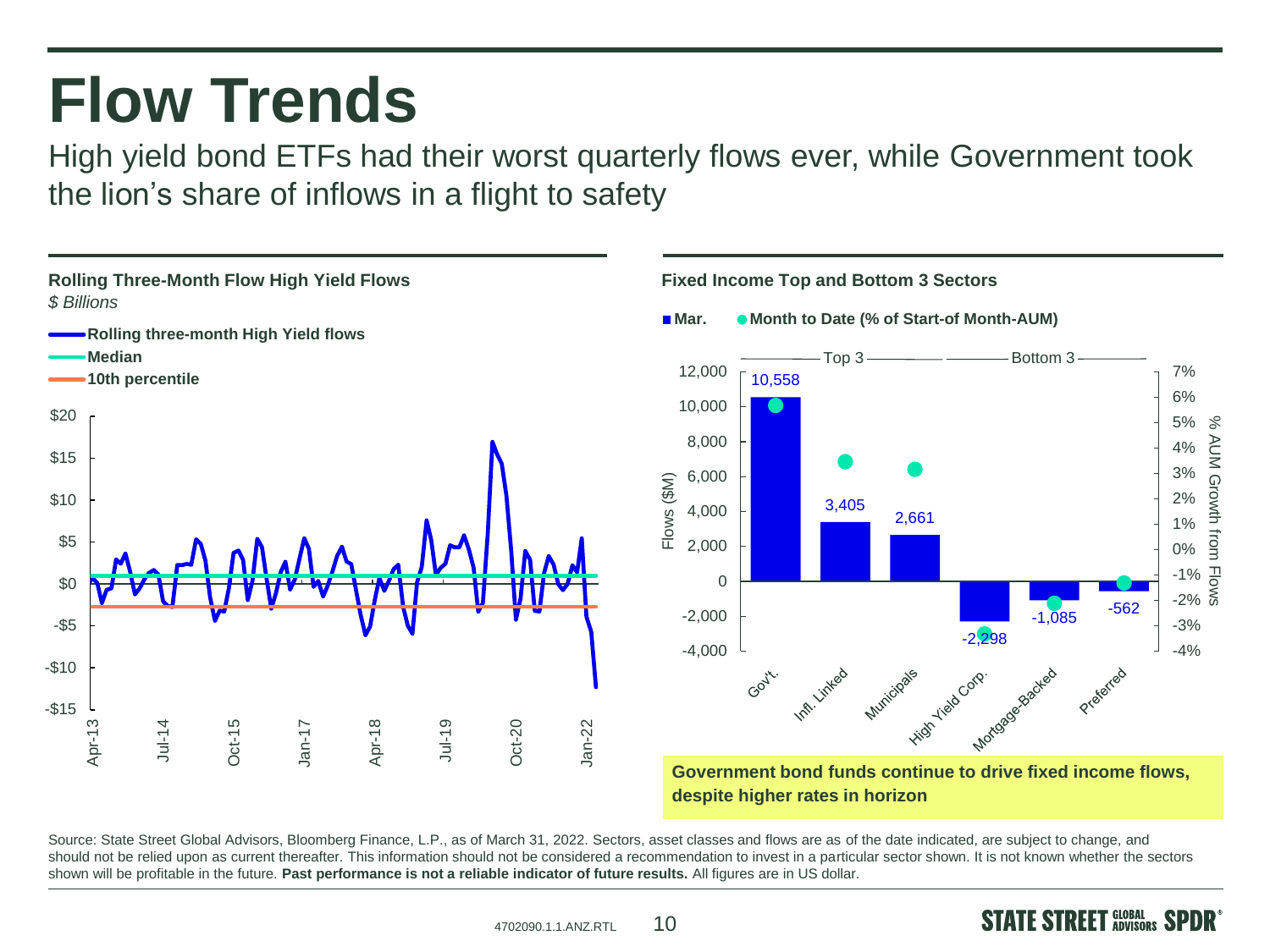#### **Flow Trends**

High yield bond ETFs had their worst quarterly flows ever, while Government took the lion's share of inflows in a flight to safety



**despite higher rates in horizon**

% AUM Growth from Flows

**STREET SLOBAL SPDR** 

**AUM Growth from** 

 $\aleph$ 

Source: State Street Global Advisors, Bloomberg Finance, L.P., as of March 31, 2022. Sectors, asset classes and flows are as of the date indicated, are subject to change, and should not be relied upon as current thereafter. This information should not be considered a recommendation to invest in a particular sector shown. It is not known whether the sectors shown will be profitable in the future. **Past performance is not a reliable indicator of future results.** All figures are in US dollar.

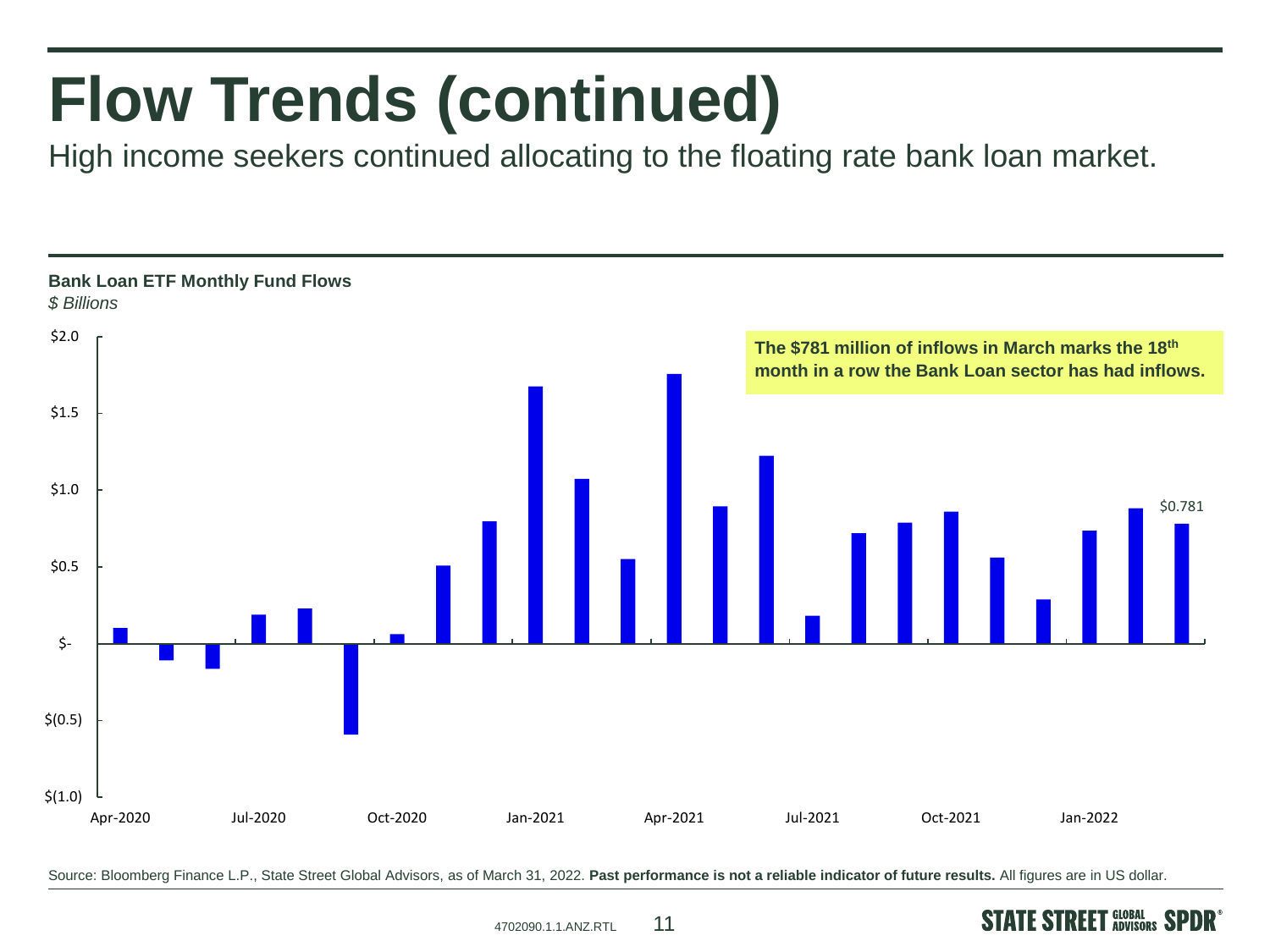# **Flow Trends (continued)**

High income seekers continued allocating to the floating rate bank loan market.



Source: Bloomberg Finance L.P., State Street Global Advisors, as of March 31, 2022. **Past performance is not a reliable indicator of future results.** All figures are in US dollar.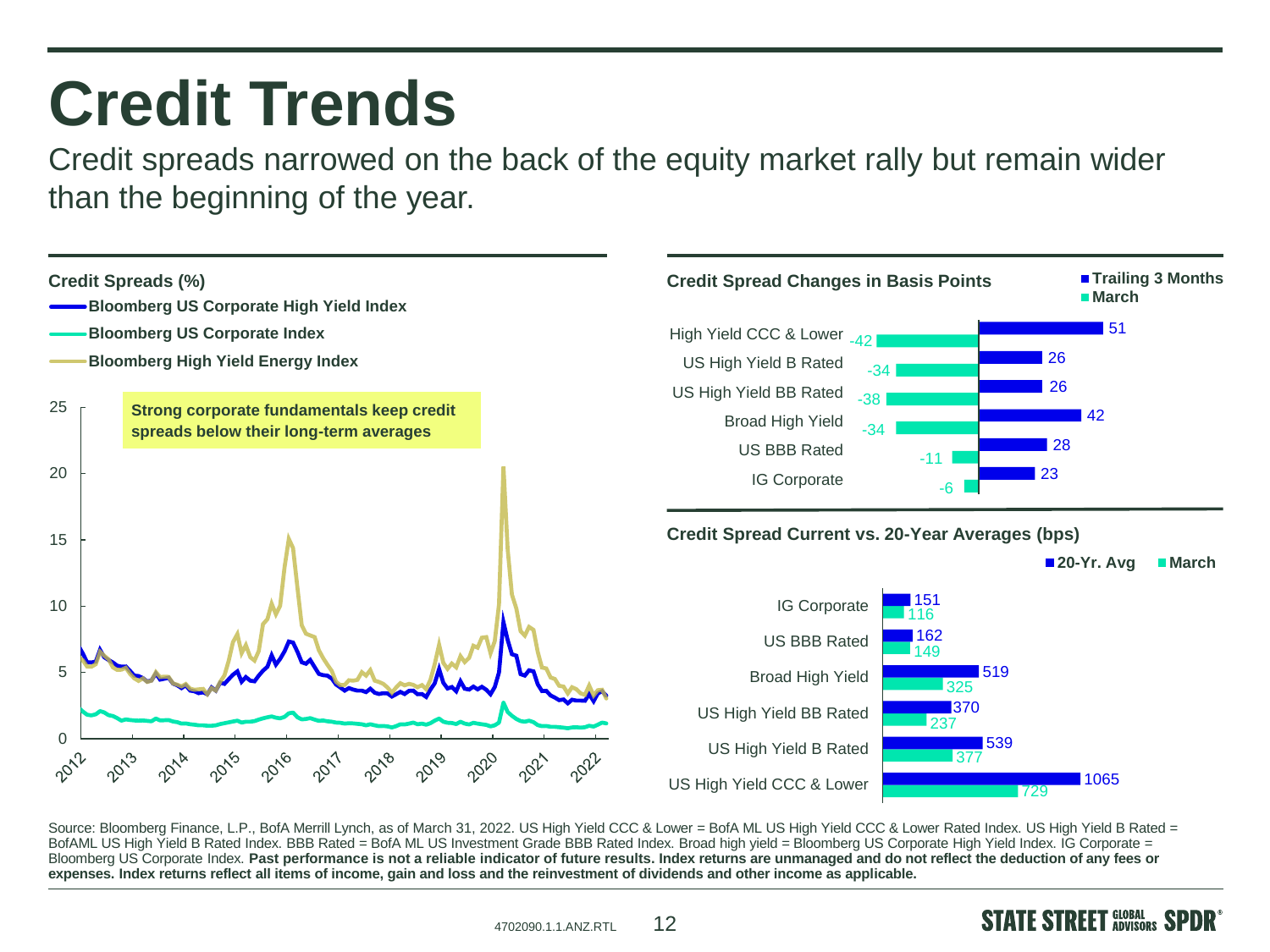#### **Credit Trends**

Credit spreads narrowed on the back of the equity market rally but remain wider than the beginning of the year.



Source: Bloomberg Finance, L.P., BofA Merrill Lynch, as of March 31, 2022. US High Yield CCC & Lower = BofA ML US High Yield CCC & Lower Rated Index. US High Yield B Rated = BofAML US High Yield B Rated Index. BBB Rated = BofA ML US Investment Grade BBB Rated Index. Broad high yield = Bloomberg US Corporate High Yield Index. IG Corporate = Bloomberg US Corporate Index. **Past performance is not a reliable indicator of future results. Index returns are unmanaged and do not reflect the deduction of any fees or expenses. Index returns reflect all items of income, gain and loss and the reinvestment of dividends and other income as applicable.**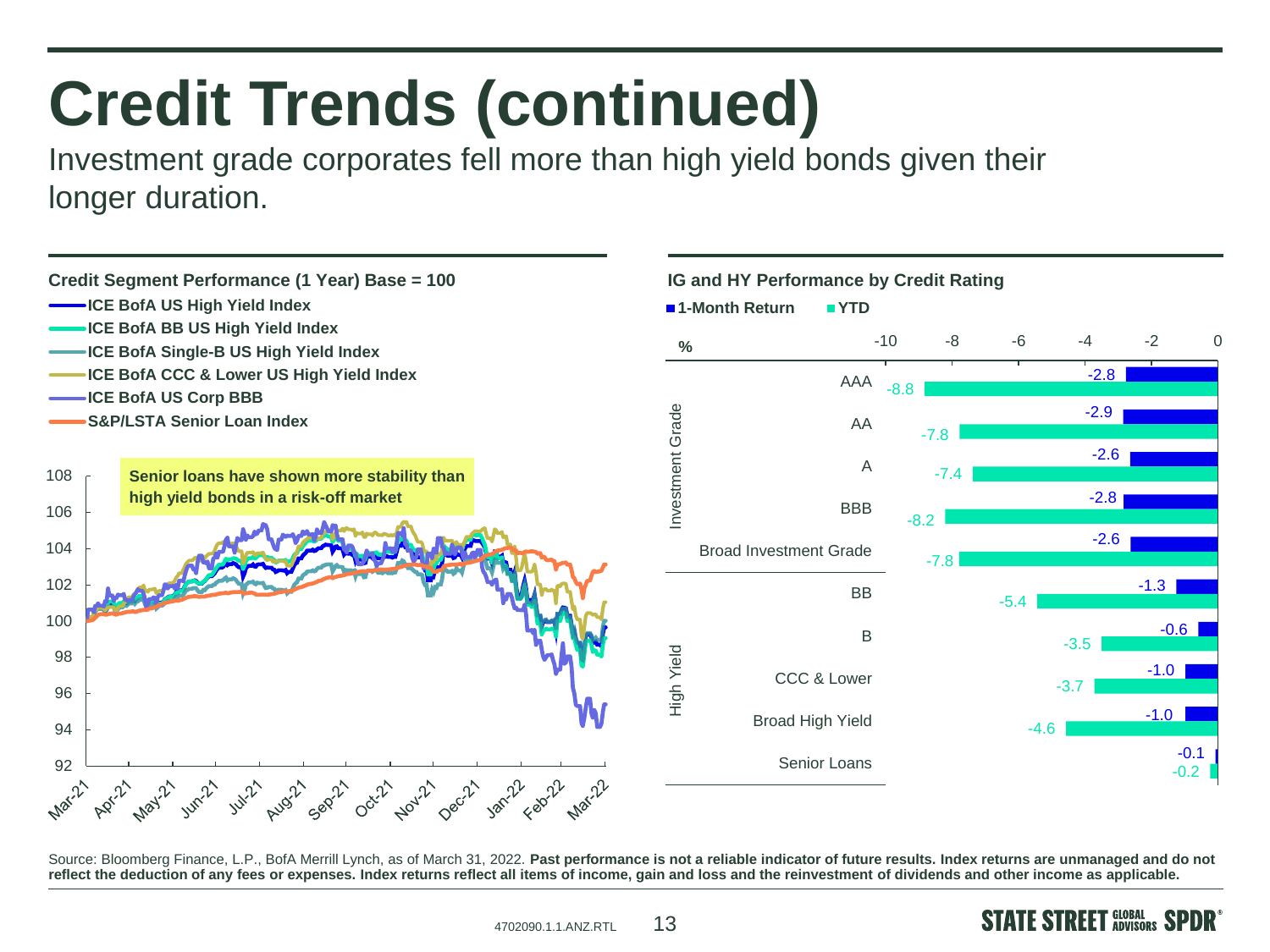# **Credit Trends (continued)**

Investment grade corporates fell more than high yield bonds given their longer duration.



Source: Bloomberg Finance, L.P., BofA Merrill Lynch, as of March 31, 2022. Past performance is not a reliable indicator of future results. Index returns are unmanaged and do not **reflect the deduction of any fees or expenses. Index returns reflect all items of income, gain and loss and the reinvestment of dividends and other income as applicable.**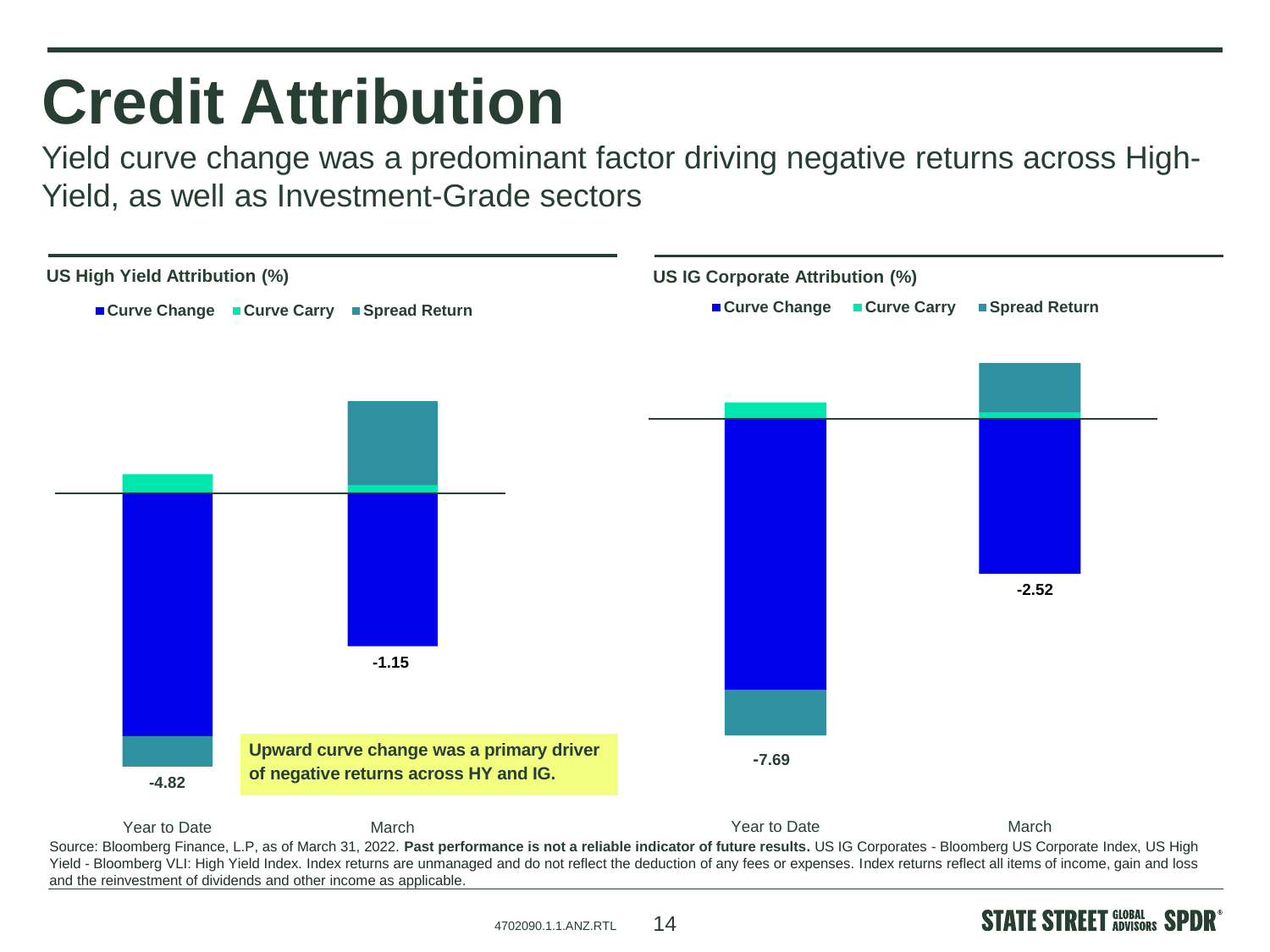### **Credit Attribution**

Yield curve change was a predominant factor driving negative returns across High-Yield, as well as Investment-Grade sectors



4702090.1.1.ANZ.RTL

**STATE STREET GLOBAL SPDR** 

14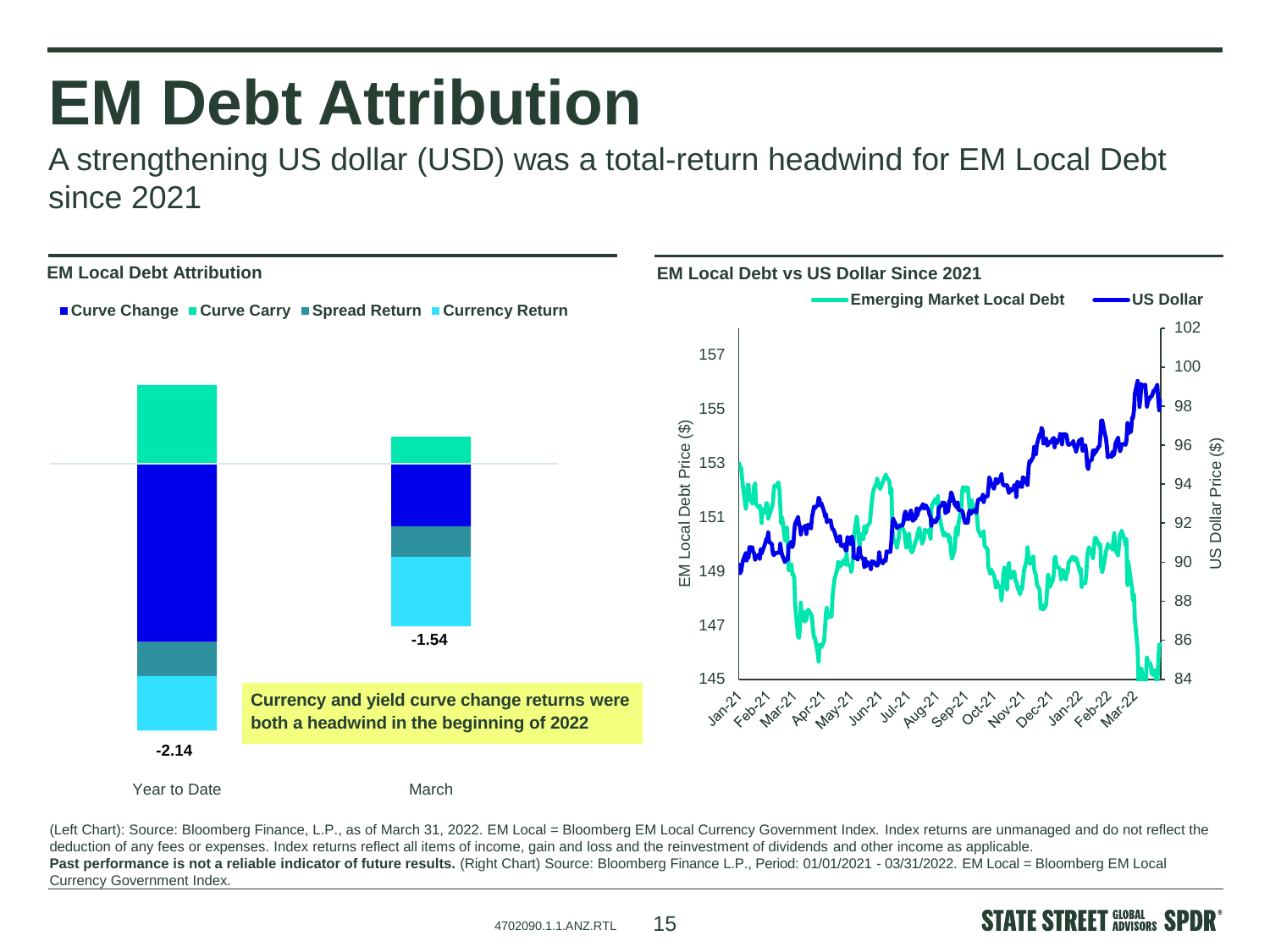#### **EM Debt Attribution**

A strengthening US dollar (USD) was a total-return headwind for EM Local Debt since 2021



(Left Chart): Source: Bloomberg Finance, L.P., as of March 31, 2022. EM Local = Bloomberg EM Local Currency Government Index. Index returns are unmanaged and do not reflect the deduction of any fees or expenses. Index returns reflect all items of income, gain and loss and the reinvestment of dividends and other income as applicable. Past performance is not a reliable indicator of future results. (Right Chart) Source: Bloomberg Finance L.P., Period: 01/01/2021 - 03/31/2022. EM Local = Bloomberg EM Local Currency Government Index.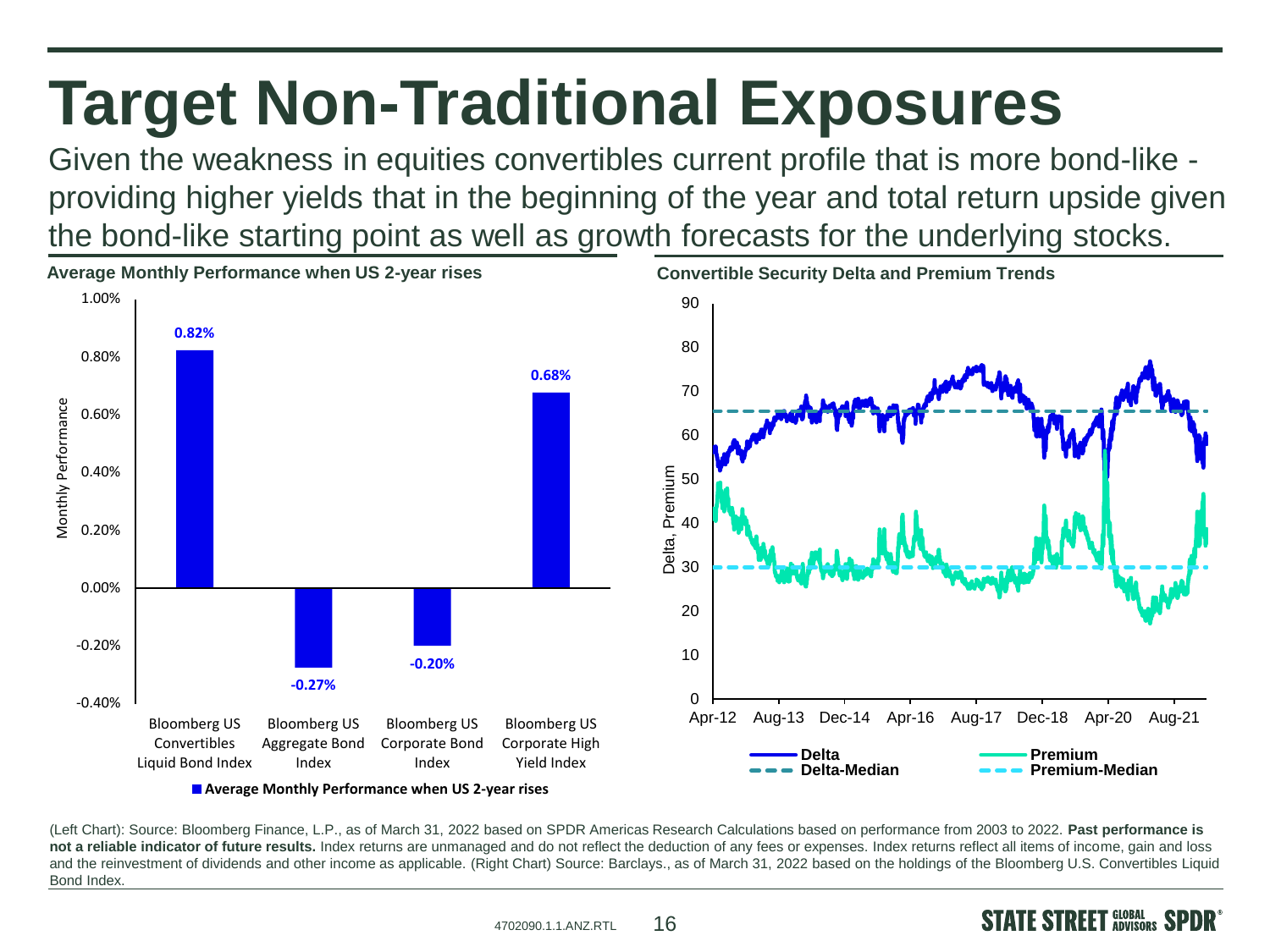# **Target Non-Traditional Exposures**

Given the weakness in equities convertibles current profile that is more bond-like providing higher yields that in the beginning of the year and total return upside given the bond-like starting point as well as growth forecasts for the underlying stocks.



(Left Chart): Source: Bloomberg Finance, L.P., as of March 31, 2022 based on SPDR Americas Research Calculations based on performance from 2003 to 2022. **Past performance is**  not a reliable indicator of future results. Index returns are unmanaged and do not reflect the deduction of any fees or expenses. Index returns reflect all items of income, gain and loss and the reinvestment of dividends and other income as applicable. (Right Chart) Source: Barclays., as of March 31, 2022 based on the holdings of the Bloomberg U.S. Convertibles Liquid Bond Index.



**E STREET** GLOBAL SI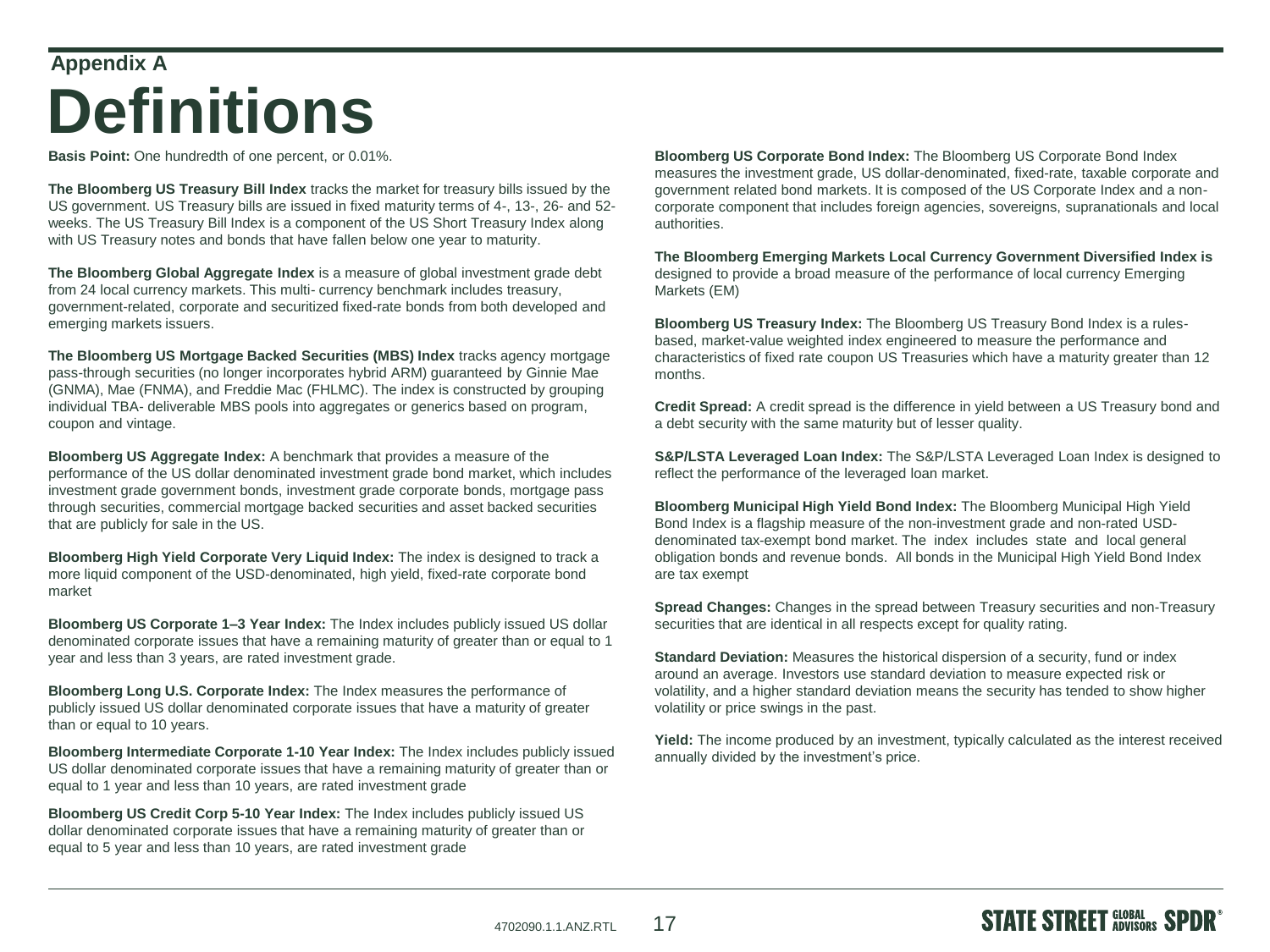#### **Appendix A**

#### **Definitions**

**Basis Point:** One hundredth of one percent, or 0.01%.

**The Bloomberg US Treasury Bill Index** tracks the market for treasury bills issued by the US government. US Treasury bills are issued in fixed maturity terms of 4-, 13-, 26- and 52 weeks. The US Treasury Bill Index is a component of the US Short Treasury Index along with US Treasury notes and bonds that have fallen below one year to maturity.

**The Bloomberg Global Aggregate Index** is a measure of global investment grade debt from 24 local currency markets. This multi- currency benchmark includes treasury, government-related, corporate and securitized fixed-rate bonds from both developed and emerging markets issuers.

**The Bloomberg US Mortgage Backed Securities (MBS) Index** tracks agency mortgage pass-through securities (no longer incorporates hybrid ARM) guaranteed by Ginnie Mae (GNMA), Mae (FNMA), and Freddie Mac (FHLMC). The index is constructed by grouping individual TBA- deliverable MBS pools into aggregates or generics based on program, coupon and vintage.

**Bloomberg US Aggregate Index:** A benchmark that provides a measure of the performance of the US dollar denominated investment grade bond market, which includes investment grade government bonds, investment grade corporate bonds, mortgage pass through securities, commercial mortgage backed securities and asset backed securities that are publicly for sale in the US.

**Bloomberg High Yield Corporate Very Liquid Index:** The index is designed to track a more liquid component of the USD-denominated, high yield, fixed-rate corporate bond market

**Bloomberg US Corporate 1–3 Year Index:** The Index includes publicly issued US dollar denominated corporate issues that have a remaining maturity of greater than or equal to 1 year and less than 3 years, are rated investment grade.

**Bloomberg Long U.S. Corporate Index:** The Index measures the performance of publicly issued US dollar denominated corporate issues that have a maturity of greater than or equal to 10 years.

**Bloomberg Intermediate Corporate 1-10 Year Index:** The Index includes publicly issued US dollar denominated corporate issues that have a remaining maturity of greater than or equal to 1 year and less than 10 years, are rated investment grade

**Bloomberg US Credit Corp 5-10 Year Index:** The Index includes publicly issued US dollar denominated corporate issues that have a remaining maturity of greater than or equal to 5 year and less than 10 years, are rated investment grade

**Bloomberg US Corporate Bond Index:** The Bloomberg US Corporate Bond Index measures the investment grade, US dollar-denominated, fixed-rate, taxable corporate and government related bond markets. It is composed of the US Corporate Index and a noncorporate component that includes foreign agencies, sovereigns, supranationals and local authorities.

**The Bloomberg Emerging Markets Local Currency Government Diversified Index is**  designed to provide a broad measure of the performance of local currency Emerging Markets (EM)

**Bloomberg US Treasury Index:** The Bloomberg US Treasury Bond Index is a rulesbased, market-value weighted index engineered to measure the performance and characteristics of fixed rate coupon US Treasuries which have a maturity greater than 12 months.

**Credit Spread:** A credit spread is the difference in yield between a US Treasury bond and a debt security with the same maturity but of lesser quality.

**S&P/LSTA Leveraged Loan Index:** The S&P/LSTA Leveraged Loan Index is designed to reflect the performance of the leveraged loan market.

**Bloomberg Municipal High Yield Bond Index:** The Bloomberg Municipal High Yield Bond Index is a flagship measure of the non-investment grade and non-rated USDdenominated tax-exempt bond market. The index includes state and local general obligation bonds and revenue bonds. All bonds in the Municipal High Yield Bond Index are tax exempt

**Spread Changes:** Changes in the spread between Treasury securities and non-Treasury securities that are identical in all respects except for quality rating.

**Standard Deviation:** Measures the historical dispersion of a security, fund or index around an average. Investors use standard deviation to measure expected risk or volatility, and a higher standard deviation means the security has tended to show higher volatility or price swings in the past.

**Yield:** The income produced by an investment, typically calculated as the interest received annually divided by the investment's price.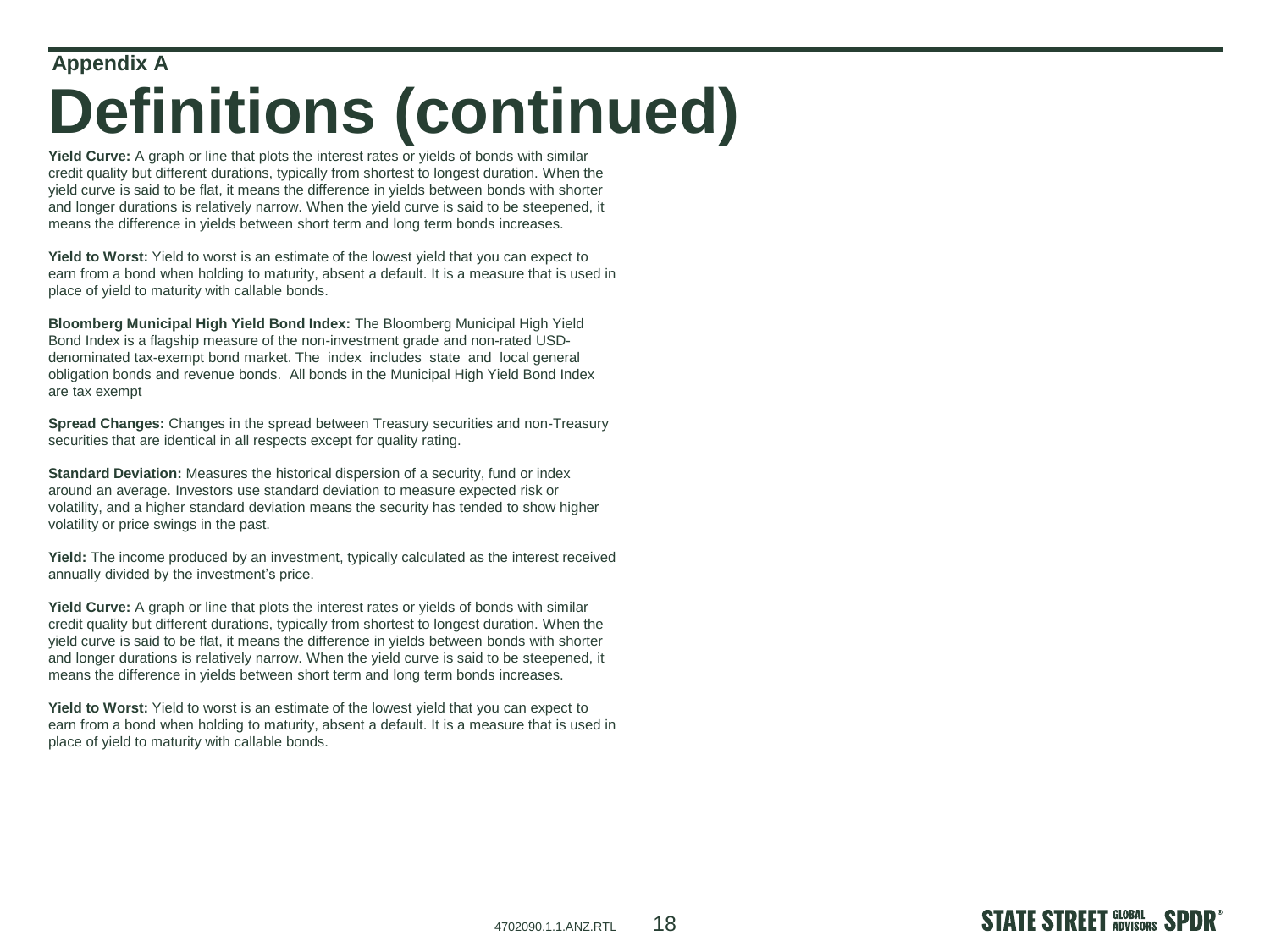#### **Appendix A**

### **Definitions (continued)**

**Yield Curve:** A graph or line that plots the interest rates or yields of bonds with similar credit quality but different durations, typically from shortest to longest duration. When the yield curve is said to be flat, it means the difference in yields between bonds with shorter and longer durations is relatively narrow. When the yield curve is said to be steepened, it means the difference in yields between short term and long term bonds increases.

**Yield to Worst:** Yield to worst is an estimate of the lowest yield that you can expect to earn from a bond when holding to maturity, absent a default. It is a measure that is used in place of yield to maturity with callable bonds.

**Bloomberg Municipal High Yield Bond Index:** The Bloomberg Municipal High Yield Bond Index is a flagship measure of the non-investment grade and non-rated USDdenominated tax-exempt bond market. The index includes state and local general obligation bonds and revenue bonds. All bonds in the Municipal High Yield Bond Index are tax exempt

**Spread Changes:** Changes in the spread between Treasury securities and non-Treasury securities that are identical in all respects except for quality rating.

**Standard Deviation:** Measures the historical dispersion of a security, fund or index around an average. Investors use standard deviation to measure expected risk or volatility, and a higher standard deviation means the security has tended to show higher volatility or price swings in the past.

**Yield:** The income produced by an investment, typically calculated as the interest received annually divided by the investment's price.

**Yield Curve:** A graph or line that plots the interest rates or yields of bonds with similar credit quality but different durations, typically from shortest to longest duration. When the yield curve is said to be flat, it means the difference in yields between bonds with shorter and longer durations is relatively narrow. When the yield curve is said to be steepened, it means the difference in yields between short term and long term bonds increases.

**Yield to Worst:** Yield to worst is an estimate of the lowest yield that you can expect to earn from a bond when holding to maturity, absent a default. It is a measure that is used in place of yield to maturity with callable bonds.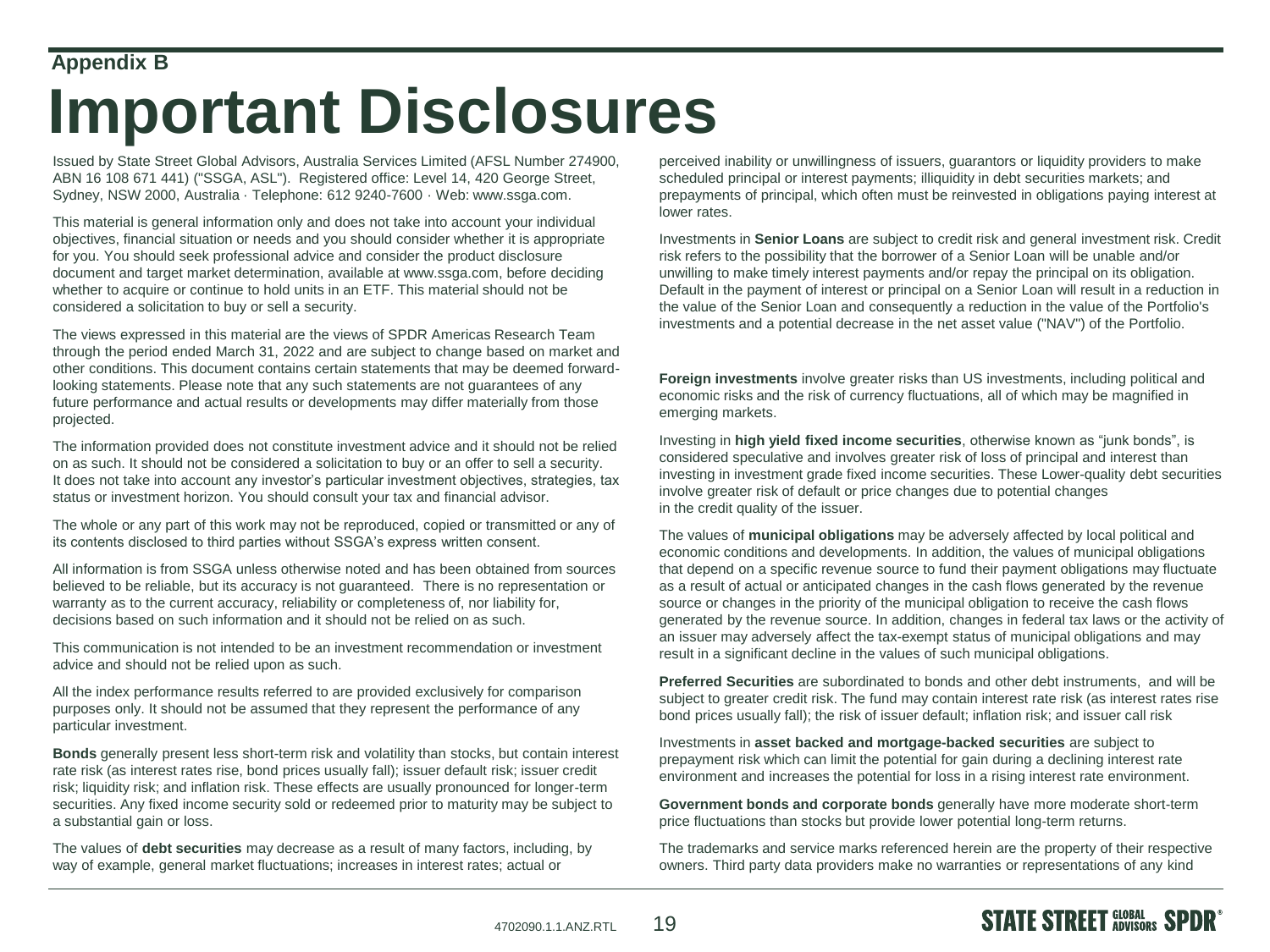#### **Appendix B**

#### **Important Disclosures**

Issued by State Street Global Advisors, Australia Services Limited (AFSL Number 274900, ABN 16 108 671 441) ("SSGA, ASL"). Registered office: Level 14, 420 George Street, Sydney, NSW 2000, Australia · Telephone: 612 9240-7600 · Web: www.ssga.com.

This material is general information only and does not take into account your individual objectives, financial situation or needs and you should consider whether it is appropriate for you. You should seek professional advice and consider the product disclosure document and target market determination, available at www.ssga.com, before deciding whether to acquire or continue to hold units in an ETF. This material should not be considered a solicitation to buy or sell a security.

The views expressed in this material are the views of SPDR Americas Research Team through the period ended March 31, 2022 and are subject to change based on market and other conditions. This document contains certain statements that may be deemed forwardlooking statements. Please note that any such statements are not guarantees of any future performance and actual results or developments may differ materially from those projected.

The information provided does not constitute investment advice and it should not be relied on as such. It should not be considered a solicitation to buy or an offer to sell a security. It does not take into account any investor's particular investment objectives, strategies, tax status or investment horizon. You should consult your tax and financial advisor.

The whole or any part of this work may not be reproduced, copied or transmitted or any of its contents disclosed to third parties without SSGA's express written consent.

All information is from SSGA unless otherwise noted and has been obtained from sources believed to be reliable, but its accuracy is not guaranteed. There is no representation or warranty as to the current accuracy, reliability or completeness of, nor liability for, decisions based on such information and it should not be relied on as such.

This communication is not intended to be an investment recommendation or investment advice and should not be relied upon as such.

All the index performance results referred to are provided exclusively for comparison purposes only. It should not be assumed that they represent the performance of any particular investment.

**Bonds** generally present less short-term risk and volatility than stocks, but contain interest rate risk (as interest rates rise, bond prices usually fall); issuer default risk; issuer credit risk; liquidity risk; and inflation risk. These effects are usually pronounced for longer-term securities. Any fixed income security sold or redeemed prior to maturity may be subject to a substantial gain or loss.

The values of **debt securities** may decrease as a result of many factors, including, by way of example, general market fluctuations; increases in interest rates; actual or

perceived inability or unwillingness of issuers, guarantors or liquidity providers to make scheduled principal or interest payments; illiquidity in debt securities markets; and prepayments of principal, which often must be reinvested in obligations paying interest at lower rates.

Investments in **Senior Loans** are subject to credit risk and general investment risk. Credit risk refers to the possibility that the borrower of a Senior Loan will be unable and/or unwilling to make timely interest payments and/or repay the principal on its obligation. Default in the payment of interest or principal on a Senior Loan will result in a reduction in the value of the Senior Loan and consequently a reduction in the value of the Portfolio's investments and a potential decrease in the net asset value ("NAV") of the Portfolio.

**Foreign investments** involve greater risks than US investments, including political and economic risks and the risk of currency fluctuations, all of which may be magnified in emerging markets.

Investing in **high yield fixed income securities**, otherwise known as "junk bonds", is considered speculative and involves greater risk of loss of principal and interest than investing in investment grade fixed income securities. These Lower-quality debt securities involve greater risk of default or price changes due to potential changes in the credit quality of the issuer.

The values of **municipal obligations** may be adversely affected by local political and economic conditions and developments. In addition, the values of municipal obligations that depend on a specific revenue source to fund their payment obligations may fluctuate as a result of actual or anticipated changes in the cash flows generated by the revenue source or changes in the priority of the municipal obligation to receive the cash flows generated by the revenue source. In addition, changes in federal tax laws or the activity of an issuer may adversely affect the tax-exempt status of municipal obligations and may result in a significant decline in the values of such municipal obligations.

**Preferred Securities** are subordinated to bonds and other debt instruments, and will be subject to greater credit risk. The fund may contain interest rate risk (as interest rates rise bond prices usually fall); the risk of issuer default; inflation risk; and issuer call risk

Investments in **asset backed and mortgage-backed securities** are subject to prepayment risk which can limit the potential for gain during a declining interest rate environment and increases the potential for loss in a rising interest rate environment.

**Government bonds and corporate bonds** generally have more moderate short-term price fluctuations than stocks but provide lower potential long-term returns.

The trademarks and service marks referenced herein are the property of their respective owners. Third party data providers make no warranties or representations of any kind